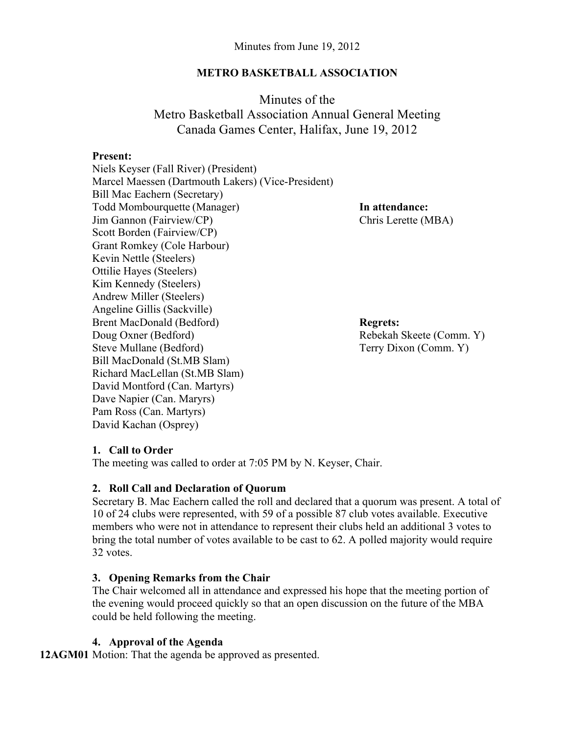#### **METRO BASKETBALL ASSOCIATION**

Minutes of the Metro Basketball Association Annual General Meeting Canada Games Center, Halifax, June 19, 2012

#### **Present:**

Niels Keyser (Fall River) (President) Marcel Maessen (Dartmouth Lakers) (Vice-President) Bill Mac Eachern (Secretary) Todd Mombourquette (Manager) **In attendance:** Jim Gannon (Fairview/CP) Chris Lerette (MBA) Scott Borden (Fairview/CP) Grant Romkey (Cole Harbour) Kevin Nettle (Steelers) Ottilie Hayes (Steelers) Kim Kennedy (Steelers) Andrew Miller (Steelers) Angeline Gillis (Sackville) Brent MacDonald (Bedford) **Regrets:** Doug Oxner (Bedford) Rebekah Skeete (Comm. Y) Steve Mullane (Bedford) Terry Dixon (Comm. Y) Bill MacDonald (St.MB Slam) Richard MacLellan (St.MB Slam) David Montford (Can. Martyrs) Dave Napier (Can. Maryrs) Pam Ross (Can. Martyrs) David Kachan (Osprey)

# **1. Call to Order**

The meeting was called to order at 7:05 PM by N. Keyser, Chair.

#### **2. Roll Call and Declaration of Quorum**

Secretary B. Mac Eachern called the roll and declared that a quorum was present. A total of 10 of 24 clubs were represented, with 59 of a possible 87 club votes available. Executive members who were not in attendance to represent their clubs held an additional 3 votes to bring the total number of votes available to be cast to 62. A polled majority would require 32 votes.

# **3. Opening Remarks from the Chair**

The Chair welcomed all in attendance and expressed his hope that the meeting portion of the evening would proceed quickly so that an open discussion on the future of the MBA could be held following the meeting.

# **4. Approval of the Agenda**

**12AGM01** Motion: That the agenda be approved as presented.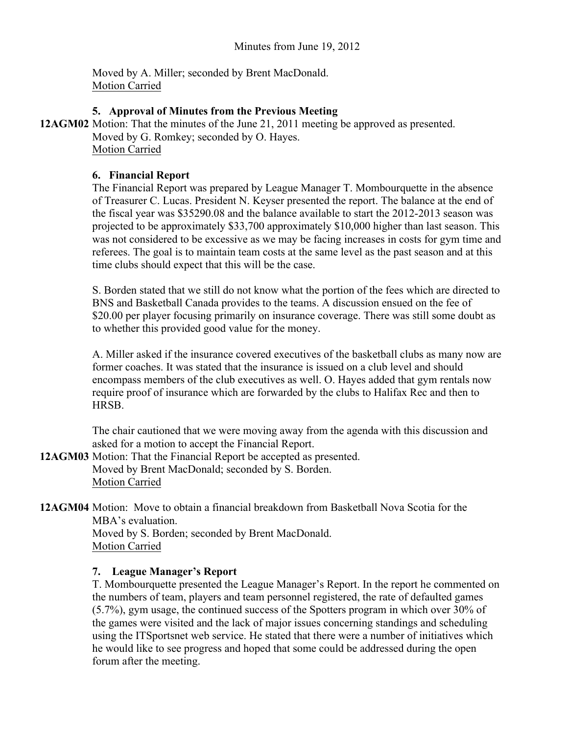Moved by A. Miller; seconded by Brent MacDonald. Motion Carried

### **5. Approval of Minutes from the Previous Meeting**

**12AGM02** Motion: That the minutes of the June 21, 2011 meeting be approved as presented. Moved by G. Romkey; seconded by O. Hayes. Motion Carried

### **6. Financial Report**

The Financial Report was prepared by League Manager T. Mombourquette in the absence of Treasurer C. Lucas. President N. Keyser presented the report. The balance at the end of the fiscal year was \$35290.08 and the balance available to start the 2012-2013 season was projected to be approximately \$33,700 approximately \$10,000 higher than last season. This was not considered to be excessive as we may be facing increases in costs for gym time and referees. The goal is to maintain team costs at the same level as the past season and at this time clubs should expect that this will be the case.

S. Borden stated that we still do not know what the portion of the fees which are directed to BNS and Basketball Canada provides to the teams. A discussion ensued on the fee of \$20.00 per player focusing primarily on insurance coverage. There was still some doubt as to whether this provided good value for the money.

A. Miller asked if the insurance covered executives of the basketball clubs as many now are former coaches. It was stated that the insurance is issued on a club level and should encompass members of the club executives as well. O. Hayes added that gym rentals now require proof of insurance which are forwarded by the clubs to Halifax Rec and then to **HRSB** 

The chair cautioned that we were moving away from the agenda with this discussion and asked for a motion to accept the Financial Report.

**12AGM03** Motion: That the Financial Report be accepted as presented. Moved by Brent MacDonald; seconded by S. Borden. Motion Carried

**12AGM04** Motion: Move to obtain a financial breakdown from Basketball Nova Scotia for the MBA's evaluation. Moved by S. Borden; seconded by Brent MacDonald.

Motion Carried

# **7. League Manager's Report**

T. Mombourquette presented the League Manager's Report. In the report he commented on the numbers of team, players and team personnel registered, the rate of defaulted games (5.7%), gym usage, the continued success of the Spotters program in which over 30% of the games were visited and the lack of major issues concerning standings and scheduling using the ITSportsnet web service. He stated that there were a number of initiatives which he would like to see progress and hoped that some could be addressed during the open forum after the meeting.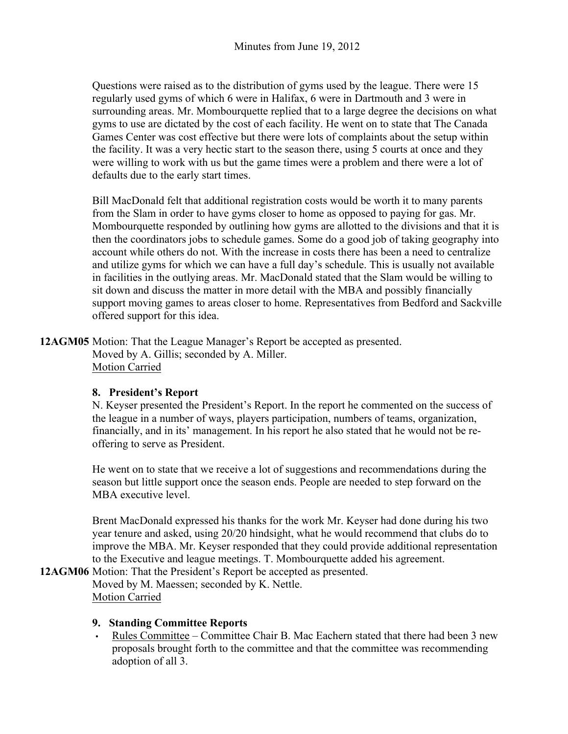Questions were raised as to the distribution of gyms used by the league. There were 15 regularly used gyms of which 6 were in Halifax, 6 were in Dartmouth and 3 were in surrounding areas. Mr. Mombourquette replied that to a large degree the decisions on what gyms to use are dictated by the cost of each facility. He went on to state that The Canada Games Center was cost effective but there were lots of complaints about the setup within the facility. It was a very hectic start to the season there, using 5 courts at once and they were willing to work with us but the game times were a problem and there were a lot of defaults due to the early start times.

Bill MacDonald felt that additional registration costs would be worth it to many parents from the Slam in order to have gyms closer to home as opposed to paying for gas. Mr. Mombourquette responded by outlining how gyms are allotted to the divisions and that it is then the coordinators jobs to schedule games. Some do a good job of taking geography into account while others do not. With the increase in costs there has been a need to centralize and utilize gyms for which we can have a full day's schedule. This is usually not available in facilities in the outlying areas. Mr. MacDonald stated that the Slam would be willing to sit down and discuss the matter in more detail with the MBA and possibly financially support moving games to areas closer to home. Representatives from Bedford and Sackville offered support for this idea.

**12AGM05** Motion: That the League Manager's Report be accepted as presented. Moved by A. Gillis; seconded by A. Miller. Motion Carried

# **8. President's Report**

N. Keyser presented the President's Report. In the report he commented on the success of the league in a number of ways, players participation, numbers of teams, organization, financially, and in its' management. In his report he also stated that he would not be reoffering to serve as President.

He went on to state that we receive a lot of suggestions and recommendations during the season but little support once the season ends. People are needed to step forward on the MBA executive level.

Brent MacDonald expressed his thanks for the work Mr. Keyser had done during his two year tenure and asked, using 20/20 hindsight, what he would recommend that clubs do to improve the MBA. Mr. Keyser responded that they could provide additional representation to the Executive and league meetings. T. Mombourquette added his agreement.

**12AGM06** Motion: That the President's Report be accepted as presented. Moved by M. Maessen; seconded by K. Nettle. Motion Carried

#### **9. Standing Committee Reports**

• Rules Committee – Committee Chair B. Mac Eachern stated that there had been 3 new proposals brought forth to the committee and that the committee was recommending adoption of all 3.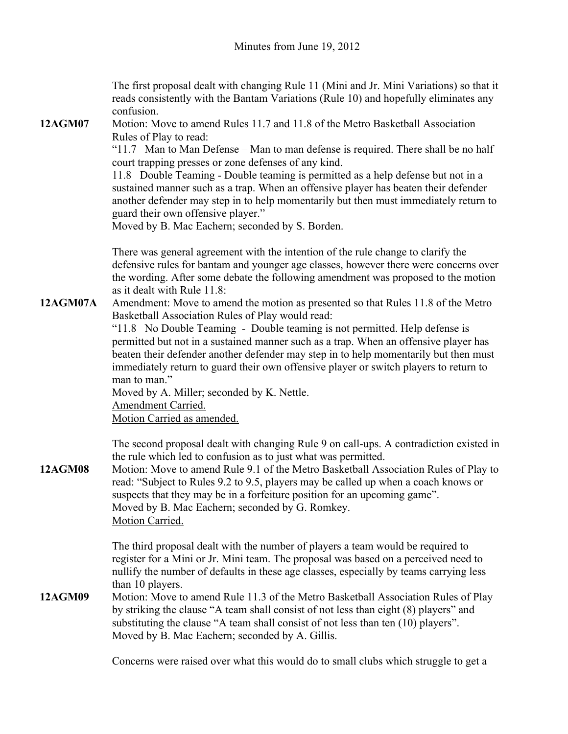The first proposal dealt with changing Rule 11 (Mini and Jr. Mini Variations) so that it reads consistently with the Bantam Variations (Rule 10) and hopefully eliminates any confusion.

**12AGM07** Motion: Move to amend Rules 11.7 and 11.8 of the Metro Basketball Association Rules of Play to read:

"11.7 Man to Man Defense – Man to man defense is required. There shall be no half court trapping presses or zone defenses of any kind.

11.8 Double Teaming - Double teaming is permitted as a help defense but not in a sustained manner such as a trap. When an offensive player has beaten their defender another defender may step in to help momentarily but then must immediately return to guard their own offensive player."

Moved by B. Mac Eachern; seconded by S. Borden.

There was general agreement with the intention of the rule change to clarify the defensive rules for bantam and younger age classes, however there were concerns over the wording. After some debate the following amendment was proposed to the motion as it dealt with Rule 11.8:

**12AGM07A** Amendment: Move to amend the motion as presented so that Rules 11.8 of the Metro Basketball Association Rules of Play would read:

"11.8 No Double Teaming - Double teaming is not permitted. Help defense is permitted but not in a sustained manner such as a trap. When an offensive player has beaten their defender another defender may step in to help momentarily but then must immediately return to guard their own offensive player or switch players to return to man to man"

Moved by A. Miller; seconded by K. Nettle.

Amendment Carried.

Motion Carried as amended.

The second proposal dealt with changing Rule 9 on call-ups. A contradiction existed in the rule which led to confusion as to just what was permitted.

**12AGM08** Motion: Move to amend Rule 9.1 of the Metro Basketball Association Rules of Play to read: "Subject to Rules 9.2 to 9.5, players may be called up when a coach knows or suspects that they may be in a forfeiture position for an upcoming game". Moved by B. Mac Eachern; seconded by G. Romkey. Motion Carried.

> The third proposal dealt with the number of players a team would be required to register for a Mini or Jr. Mini team. The proposal was based on a perceived need to nullify the number of defaults in these age classes, especially by teams carrying less than 10 players.

**12AGM09** Motion: Move to amend Rule 11.3 of the Metro Basketball Association Rules of Play by striking the clause "A team shall consist of not less than eight (8) players" and substituting the clause "A team shall consist of not less than ten (10) players". Moved by B. Mac Eachern; seconded by A. Gillis.

Concerns were raised over what this would do to small clubs which struggle to get a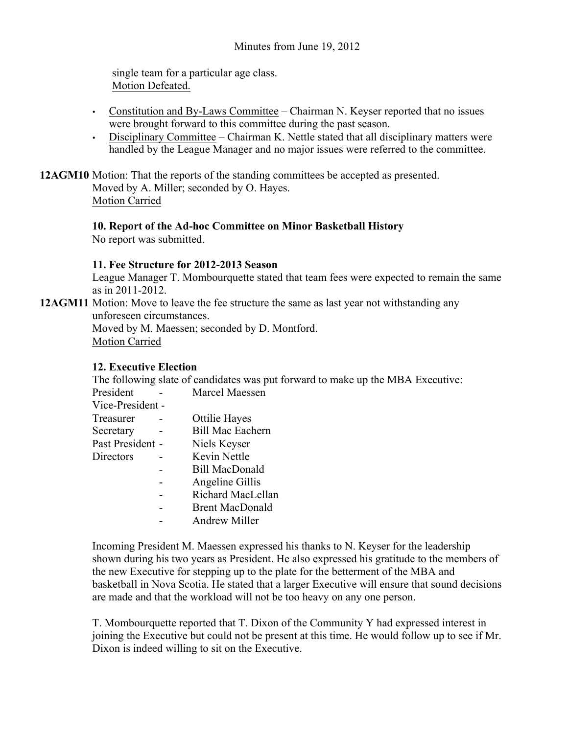single team for a particular age class. Motion Defeated.

- Constitution and By-Laws Committee Chairman N. Keyser reported that no issues were brought forward to this committee during the past season.
- Disciplinary Committee Chairman K. Nettle stated that all disciplinary matters were handled by the League Manager and no major issues were referred to the committee.

**12AGM10** Motion: That the reports of the standing committees be accepted as presented. Moved by A. Miller; seconded by O. Hayes. Motion Carried

# **10. Report of the Ad-hoc Committee on Minor Basketball History**

No report was submitted.

#### **11. Fee Structure for 2012-2013 Season**

League Manager T. Mombourquette stated that team fees were expected to remain the same as in 2011-2012.

**12AGM11** Motion: Move to leave the fee structure the same as last year not withstanding any unforeseen circumstances.

Moved by M. Maessen; seconded by D. Montford. Motion Carried

#### **12. Executive Election**

The following slate of candidates was put forward to make up the MBA Executive:

| President        | Marcel Maessen          |
|------------------|-------------------------|
| Vice-President - |                         |
| Treasurer        | Ottilie Hayes           |
| Secretary        | <b>Bill Mac Eachern</b> |
| Past President - | Niels Keyser            |
| Directors        | Kevin Nettle            |
|                  | Bill MacDonald          |
|                  | Angeline Gillis         |
|                  | Richard MacLellan       |
|                  | <b>Brent MacDonald</b>  |
|                  | Andrew Miller           |

Incoming President M. Maessen expressed his thanks to N. Keyser for the leadership shown during his two years as President. He also expressed his gratitude to the members of the new Executive for stepping up to the plate for the betterment of the MBA and basketball in Nova Scotia. He stated that a larger Executive will ensure that sound decisions are made and that the workload will not be too heavy on any one person.

T. Mombourquette reported that T. Dixon of the Community Y had expressed interest in joining the Executive but could not be present at this time. He would follow up to see if Mr. Dixon is indeed willing to sit on the Executive.